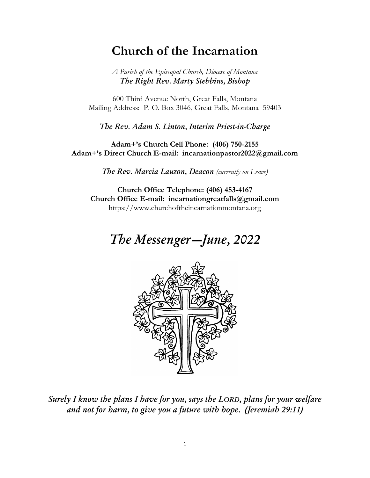# **Church of the Incarnation**

*A Parish of the Episcopal Church, Diocese of Montana The Right Rev. Marty Stebbins, Bishop*

600 Third Avenue North, Great Falls, Montana Mailing Address: P. O. Box 3046, Great Falls, Montana 59403

*The Rev. Adam S. Linton, Interim Priest-in-Charge*

**Adam+'s Church Cell Phone: (406) 750-2155 Adam+'s Direct Church E-mail: incarnationpastor2022@gmail.com**

*The Rev. Marcia Lauzon, Deacon (currently on Leave)*

**Church Office Telephone: (406) 453-4167 Church Office E-mail: [incarnationgreatfalls@gmail.com](mailto:incarnationgreatfalls@gmail.com)** [https://www.churchoftheincarnationmontana.org](https://www.churchoftheincarnationmontana.org/)

# *The Messenger—June, 2022*



*Surely I know the plans I have for you, says the LORD, plans for your welfare and not for harm, to give you a future with hope. (Jeremiah 29:11)*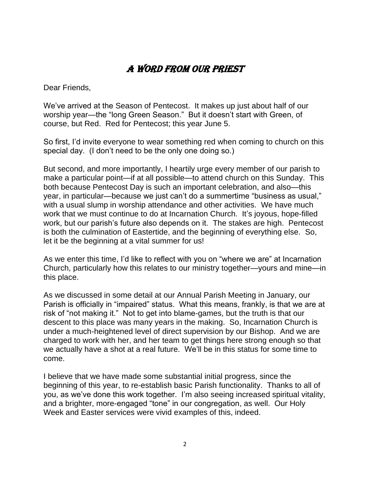# A Word from Our Priest

Dear Friends,

We've arrived at the Season of Pentecost. It makes up just about half of our worship year—the "long Green Season." But it doesn't start with Green, of course, but Red. Red for Pentecost; this year June 5.

So first, I'd invite everyone to wear something red when coming to church on this special day. (I don't need to be the only one doing so.)

But second, and more importantly, I heartily urge every member of our parish to make a particular point—if at all possible—to attend church on this Sunday. This both because Pentecost Day is such an important celebration, and also—this year, in particular—because we just can't do a summertime "business as usual," with a usual slump in worship attendance and other activities. We have much work that we must continue to do at Incarnation Church. It's joyous, hope-filled work, but our parish's future also depends on it. The stakes are high. Pentecost is both the culmination of Eastertide, and the beginning of everything else. So, let it be the beginning at a vital summer for us!

As we enter this time, I'd like to reflect with you on "where we are" at Incarnation Church, particularly how this relates to our ministry together—yours and mine—in this place.

As we discussed in some detail at our Annual Parish Meeting in January, our Parish is officially in "impaired" status. What this means, frankly, is that we are at risk of "not making it." Not to get into blame-games, but the truth is that our descent to this place was many years in the making. So, Incarnation Church is under a much-heightened level of direct supervision by our Bishop. And we are charged to work with her, and her team to get things here strong enough so that we actually have a shot at a real future. We'll be in this status for some time to come.

I believe that we have made some substantial initial progress, since the beginning of this year, to re-establish basic Parish functionality. Thanks to all of you, as we've done this work together. I'm also seeing increased spiritual vitality, and a brighter, more-engaged "tone" in our congregation, as well. Our Holy Week and Easter services were vivid examples of this, indeed.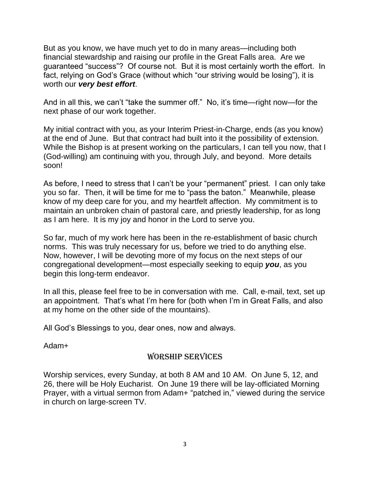But as you know, we have much yet to do in many areas—including both financial stewardship and raising our profile in the Great Falls area. Are we guaranteed "success"? Of course not. But it is most certainly worth the effort. In fact, relying on God's Grace (without which "our striving would be losing"), it is worth our *very best effort*.

And in all this, we can't "take the summer off." No, it's time—right now—for the next phase of our work together.

My initial contract with you, as your Interim Priest-in-Charge, ends (as you know) at the end of June. But that contract had built into it the possibility of extension. While the Bishop is at present working on the particulars, I can tell you now, that I (God-willing) am continuing with you, through July, and beyond. More details soon!

As before, I need to stress that I can't be your "permanent" priest. I can only take you so far. Then, it will be time for me to "pass the baton." Meanwhile, please know of my deep care for you, and my heartfelt affection. My commitment is to maintain an unbroken chain of pastoral care, and priestly leadership, for as long as I am here. It is my joy and honor in the Lord to serve you.

So far, much of my work here has been in the re-establishment of basic church norms. This was truly necessary for us, before we tried to do anything else. Now, however, I will be devoting more of my focus on the next steps of our congregational development—most especially seeking to equip *you*, as you begin this long-term endeavor.

In all this, please feel free to be in conversation with me. Call, e-mail, text, set up an appointment. That's what I'm here for (both when I'm in Great Falls, and also at my home on the other side of the mountains).

All God's Blessings to you, dear ones, now and always.

Adam+

## WORSHIP SERVICES

Worship services, every Sunday, at both 8 AM and 10 AM. On June 5, 12, and 26, there will be Holy Eucharist. On June 19 there will be lay-officiated Morning Prayer, with a virtual sermon from Adam+ "patched in," viewed during the service in church on large-screen TV.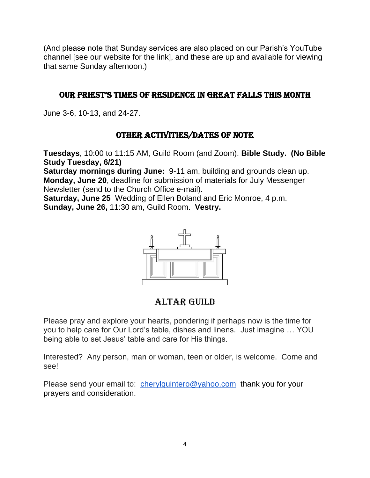(And please note that Sunday services are also placed on our Parish's YouTube channel [see our website for the link], and these are up and available for viewing that same Sunday afternoon.)

#### OUR PRIEST'S TIMES OF RESIDENCE IN GREAT FALLS THIS MONTH

June 3-6, 10-13, and 24-27.

## OTHER ACTIVITIES/Dates of Note

**Tuesdays**, 10:00 to 11:15 AM, Guild Room (and Zoom). **Bible Study. (No Bible Study Tuesday, 6/21)**

**Saturday mornings during June:** 9-11 am, building and grounds clean up. **Monday, June 20**, deadline for submission of materials for July Messenger Newsletter (send to the Church Office e-mail).

**Saturday, June 25** Wedding of Ellen Boland and Eric Monroe, 4 p.m. **Sunday, June 26,** 11:30 am, Guild Room. **Vestry.**



## ALTAR GUILD

Please pray and explore your hearts, pondering if perhaps now is the time for you to help care for Our Lord's table, dishes and linens. Just imagine … YOU being able to set Jesus' table and care for His things.

Interested? Any person, man or woman, teen or older, is welcome. Come and see!

Please send your email to: [cherylquintero@yahoo.com](mailto:cherylquintero@yahoo.com) thank you for your prayers and consideration.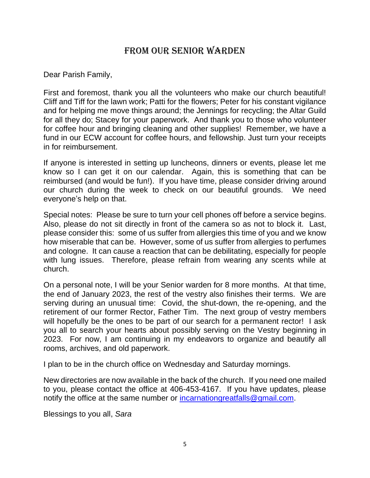## From our Senior Warden

Dear Parish Family,

First and foremost, thank you all the volunteers who make our church beautiful! Cliff and Tiff for the lawn work; Patti for the flowers; Peter for his constant vigilance and for helping me move things around; the Jennings for recycling; the Altar Guild for all they do; Stacey for your paperwork. And thank you to those who volunteer for coffee hour and bringing cleaning and other supplies! Remember, we have a fund in our ECW account for coffee hours, and fellowship. Just turn your receipts in for reimbursement.

If anyone is interested in setting up luncheons, dinners or events, please let me know so I can get it on our calendar. Again, this is something that can be reimbursed (and would be fun!). If you have time, please consider driving around our church during the week to check on our beautiful grounds. We need everyone's help on that.

Special notes: Please be sure to turn your cell phones off before a service begins. Also, please do not sit directly in front of the camera so as not to block it. Last, please consider this: some of us suffer from allergies this time of you and we know how miserable that can be. However, some of us suffer from allergies to perfumes and cologne. It can cause a reaction that can be debilitating, especially for people with lung issues. Therefore, please refrain from wearing any scents while at church.

On a personal note, I will be your Senior warden for 8 more months. At that time, the end of January 2023, the rest of the vestry also finishes their terms. We are serving during an unusual time: Covid, the shut-down, the re-opening, and the retirement of our former Rector, Father Tim. The next group of vestry members will hopefully be the ones to be part of our search for a permanent rector! I ask you all to search your hearts about possibly serving on the Vestry beginning in 2023. For now, I am continuing in my endeavors to organize and beautify all rooms, archives, and old paperwork.

I plan to be in the church office on Wednesday and Saturday mornings.

New directories are now available in the back of the church. If you need one mailed to you, please contact the office at 406-453-4167. If you have updates, please notify the office at the same number or [incarnationgreatfalls@gmail.com.](mailto:incarnationgreatfalls@gmail.com)

Blessings to you all, *Sara*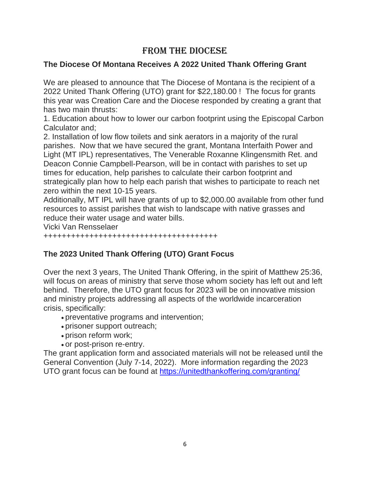## From the Diocese

#### **The Diocese Of Montana Receives A 2022 United Thank Offering Grant**

We are pleased to announce that The Diocese of Montana is the recipient of a 2022 United Thank Offering (UTO) grant for \$22,180.00 ! The focus for grants this year was Creation Care and the Diocese responded by creating a grant that has two main thrusts:

1. Education about how to lower our carbon footprint using the Episcopal Carbon Calculator and;

2. Installation of low flow toilets and sink aerators in a majority of the rural parishes. Now that we have secured the grant, Montana Interfaith Power and Light (MT IPL) representatives, The Venerable Roxanne Klingensmith Ret. and Deacon Connie Campbell-Pearson, will be in contact with parishes to set up times for education, help parishes to calculate their carbon footprint and strategically plan how to help each parish that wishes to participate to reach net zero within the next 10-15 years.

Additionally, MT IPL will have grants of up to \$2,000.00 available from other fund resources to assist parishes that wish to landscape with native grasses and reduce their water usage and water bills.

Vicki Van Rensselaer

++++++++++++++++++++++++++++++++++++++

## **The 2023 United Thank Offering (UTO) Grant Focus**

Over the next 3 years, The United Thank Offering, in the spirit of Matthew 25:36, will focus on areas of ministry that serve those whom society has left out and left behind. Therefore, the UTO grant focus for 2023 will be on innovative mission and ministry projects addressing all aspects of the worldwide incarceration crisis, specifically:

- preventative programs and intervention;
- prisoner support outreach;
- prison reform work;
- or post-prison re-entry.

The grant application form and associated materials will not be released until the General Convention (July 7-14, 2022). More information regarding the 2023 UTO grant focus can be found at <https://unitedthankoffering.com/granting/>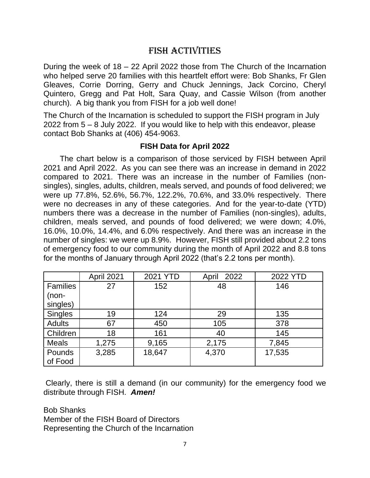## FISH Activities

During the week of 18 – 22 April 2022 those from The Church of the Incarnation who helped serve 20 families with this heartfelt effort were: Bob Shanks, Fr Glen Gleaves, Corrie Dorring, Gerry and Chuck Jennings, Jack Corcino, Cheryl Quintero, Gregg and Pat Holt, Sara Quay, and Cassie Wilson (from another church). A big thank you from FISH for a job well done!

The Church of the Incarnation is scheduled to support the FISH program in July 2022 from 5 – 8 July 2022. If you would like to help with this endeavor, please contact Bob Shanks at (406) 454-9063.

#### **FISH Data for April 2022**

The chart below is a comparison of those serviced by FISH between April 2021 and April 2022. As you can see there was an increase in demand in 2022 compared to 2021. There was an increase in the number of Families (nonsingles), singles, adults, children, meals served, and pounds of food delivered; we were up 77.8%, 52.6%, 56.7%, 122.2%, 70.6%, and 33.0% respectively. There were no decreases in any of these categories. And for the year-to-date (YTD) numbers there was a decrease in the number of Families (non-singles), adults, children, meals served, and pounds of food delivered; we were down; 4.0%, 16.0%, 10.0%, 14.4%, and 6.0% respectively. And there was an increase in the number of singles: we were up 8.9%. However, FISH still provided about 2.2 tons of emergency food to our community during the month of April 2022 and 8.8 tons for the months of January through April 2022 (that's 2.2 tons per month).

|                 | April 2021 | 2021 YTD | 2022<br>April | 2022 YTD |
|-----------------|------------|----------|---------------|----------|
| <b>Families</b> | 27         | 152      | 48            | 146      |
| $(non-$         |            |          |               |          |
| singles)        |            |          |               |          |
| <b>Singles</b>  | 19         | 124      | 29            | 135      |
| <b>Adults</b>   | 67         | 450      | 105           | 378      |
| Children        | 18         | 161      | 40            | 145      |
| <b>Meals</b>    | 1,275      | 9,165    | 2,175         | 7,845    |
| Pounds          | 3,285      | 18,647   | 4,370         | 17,535   |
| of Food         |            |          |               |          |

Clearly, there is still a demand (in our community) for the emergency food we distribute through FISH. *Amen!*

Bob Shanks Member of the FISH Board of Directors Representing the Church of the Incarnation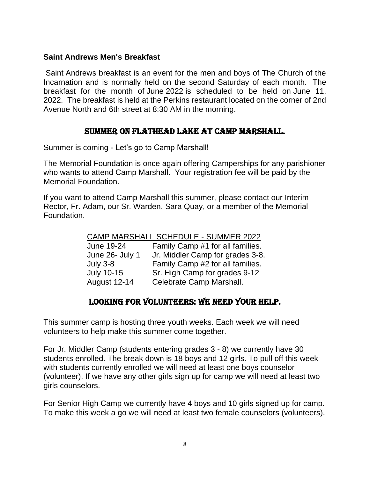#### **Saint Andrews Men's Breakfast**

Saint Andrews breakfast is an event for the men and boys of The Church of the Incarnation and is normally held on the second Saturday of each month. The breakfast for the month of June 2022 is scheduled to be held on June 11, 2022. The breakfast is held at the Perkins restaurant located on the corner of 2nd Avenue North and 6th street at 8:30 AM in the morning.

#### SUMMER ON FLATHEAD LAKE AT CAMP MARSHALL.

Summer is coming - Let's go to Camp Marshall!

The Memorial Foundation is once again offering Camperships for any parishioner who wants to attend Camp Marshall. Your registration fee will be paid by the Memorial Foundation.

If you want to attend Camp Marshall this summer, please contact our Interim Rector, Fr. Adam, our Sr. Warden, Sara Quay, or a member of the Memorial Foundation.

| <b>CAMP MARSHALL SCHEDULE - SUMMER 2022</b> |                                  |  |  |  |
|---------------------------------------------|----------------------------------|--|--|--|
| June 19-24                                  | Family Camp #1 for all families. |  |  |  |
| June 26- July 1                             | Jr. Middler Camp for grades 3-8. |  |  |  |
| July $3-8$                                  | Family Camp #2 for all families. |  |  |  |
| <b>July 10-15</b>                           | Sr. High Camp for grades 9-12    |  |  |  |
| <b>August 12-14</b>                         | Celebrate Camp Marshall.         |  |  |  |

#### Looking for Volunteers: We need your help.

This summer camp is hosting three youth weeks. Each week we will need volunteers to help make this summer come together.

For Jr. Middler Camp (students entering grades 3 - 8) we currently have 30 students enrolled. The break down is 18 boys and 12 girls. To pull off this week with students currently enrolled we will need at least one boys counselor (volunteer). If we have any other girls sign up for camp we will need at least two girls counselors.

For Senior High Camp we currently have 4 boys and 10 girls signed up for camp. To make this week a go we will need at least two female counselors (volunteers).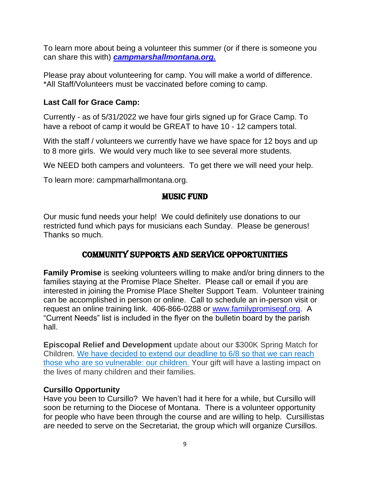To learn more about being a volunteer this summer (or if there is someone you can share this with) *[campmarshallmontana.org.](https://www.campmarshallmontana.org/courses-4)*

Please pray about volunteering for camp. You will make a world of difference. \*All Staff/Volunteers must be vaccinated before coming to camp.

#### **Last Call for Grace Camp:**

Currently - as of 5/31/2022 we have four girls signed up for Grace Camp. To have a reboot of camp it would be GREAT to have 10 - 12 campers total.

With the staff / volunteers we currently have we have space for 12 boys and up to 8 more girls. We would very much like to see several more students.

We NEED both campers and volunteers. To get there we will need your help.

To learn more: campmarhallmontana.org.

#### Music Fund

Our music fund needs your help! We could definitely use donations to our restricted fund which pays for musicians each Sunday. Please be generous! Thanks so much.

## Community Supports and Service Opportunities

**Family Promise** is seeking volunteers willing to make and/or bring dinners to the families staying at the Promise Place Shelter. Please call or email if you are interested in joining the Promise Place Shelter Support Team. Volunteer training can be accomplished in person or online. Call to schedule an in-person visit or request an online training link. 406-866-0288 or [www.familypromisegf.org.](http://www.familypromisegf.org/) A "Current Needs" list is included in the flyer on the bulletin board by the parish hall.

**Episcopal Relief and Development** update about our \$300K Spring Match for Children. [We have decided to extend our deadline to 6/8 so that we can reach](http://links.sankynet.mkt5125.com/els/v2/03kdt_j4AZH6/S0gxYzdFcXJoc0ZhRlNqalgxTm82Si9LZ1cxcHpKak9jb2xlb0huV2VjQ0hWKzlVZzQ1bzZBK214Zng5TnhMK3lwZWJ0cllZOEY0YWdZNGZUZU1MOFBDbm05eThGVVM5RFNnZUcyZ1VGdjA9S0/bFpYUUJKYXdsa0xEUStadEF6NDFGRGVxZTRES0lwaUVkVTdJN2l0TGtWelNDUk5aeFVPY3RBPT0S1)  [those who are so vulnerable: our children.](http://links.sankynet.mkt5125.com/els/v2/03kdt_j4AZH6/S0gxYzdFcXJoc0ZhRlNqalgxTm82Si9LZ1cxcHpKak9jb2xlb0huV2VjQ0hWKzlVZzQ1bzZBK214Zng5TnhMK3lwZWJ0cllZOEY0YWdZNGZUZU1MOFBDbm05eThGVVM5RFNnZUcyZ1VGdjA9S0/bFpYUUJKYXdsa0xEUStadEF6NDFGRGVxZTRES0lwaUVkVTdJN2l0TGtWelNDUk5aeFVPY3RBPT0S1) Your gift will have a lasting impact on the lives of many children and their families.

#### **Cursillo Opportunity**

Have you been to Cursillo? We haven't had it here for a while, but Cursillo will soon be returning to the Diocese of Montana. There is a volunteer opportunity for people who have been through the course and are willing to help. Cursillistas are needed to serve on the Secretariat, the group which will organize Cursillos.